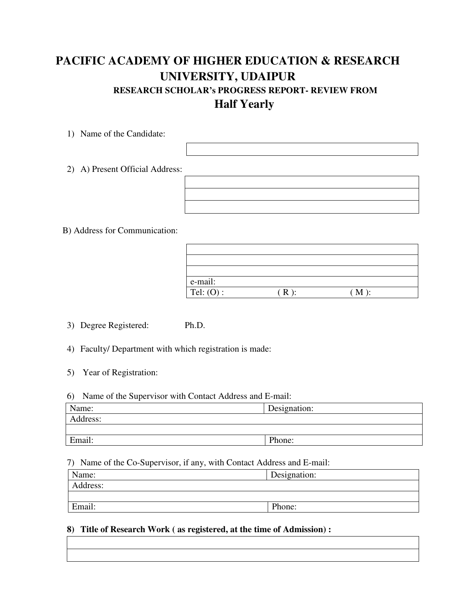# **PACIFIC ACADEMY OF HIGHER EDUCATION & RESEARCH UNIVERSITY, UDAIPUR RESEARCH SCHOLAR's PROGRESS REPORT- REVIEW FROM Half Yearly**

1) Name of the Candidate:

2) A) Present Official Address:

B) Address for Communication:

| e-mail:      |                           |  |
|--------------|---------------------------|--|
| Tel: $(O)$ : | $^{\prime}$ M $_{\prime}$ |  |

3) Degree Registered: Ph.D.

4) Faculty/ Department with which registration is made:

5) Year of Registration:

#### 6) Name of the Supervisor with Contact Address and E-mail:

| Name:    | Designation: |
|----------|--------------|
| Address: |              |
|          |              |
| Email:   | Phone:       |

#### 7) Name of the Co-Supervisor, if any, with Contact Address and E-mail:

| Name:    | Designation: |
|----------|--------------|
| Address: |              |
|          |              |
| Email:   | Phone:       |

### **8) Title of Research Work ( as registered, at the time of Admission) :**